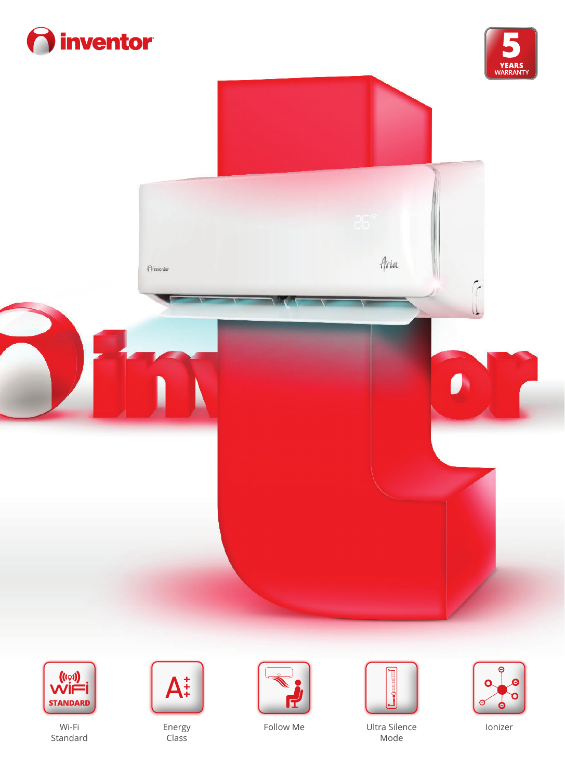







Wi-Fi Standard



Energy Class





Follow Me Ultra Silence Mode



Ionizer